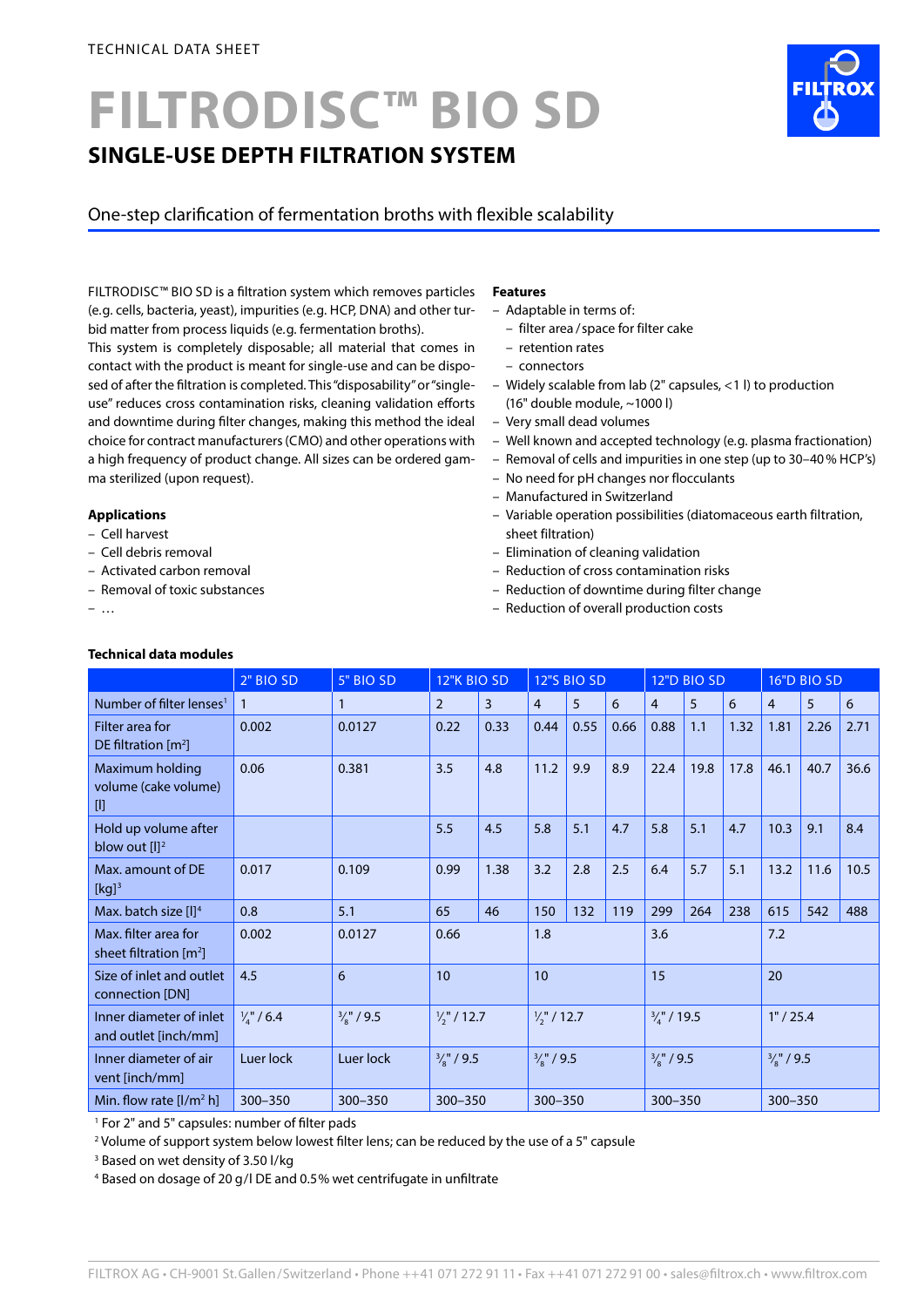# **FILTRODISC™ BIO SD SINGLE-USE DEPTH FILTRATION SYSTEM**

# One-step clarification of fermentation broths with flexible scalability

FILTRODISC™ BIO SD is a filtration system which removes particles (e.g. cells, bacteria, yeast), impurities (e.g. HCP, DNA) and other turbid matter from process liquids (e.g. fermentation broths).

This system is completely disposable; all material that comes in contact with the product is meant for single-use and can be disposed of after the filtration is completed. This "disposability" or "singleuse" reduces cross contamination risks, cleaning validation efforts and downtime during filter changes, making this method the ideal choice for contract manufacturers (CMO) and other operations with a high frequency of product change. All sizes can be ordered gamma sterilized (upon request).

## **Applications**

- Cell harvest
- Cell debris removal
- Activated carbon removal
- Removal of toxic substances

– …

# **Technical data modules**

#### **Features**

- Adaptable in terms of:
	- filter area / space for filter cake
	- retention rates
	- connectors
- Widely scalable from lab (2" capsules, <1 l) to production (16" double module, ~1000 l)
- Very small dead volumes
- Well known and accepted technology (e.g. plasma fractionation)
- Removal of cells and impurities in one step (up to 30–40 % HCP's)
- No need for pH changes nor flocculants
- Manufactured in Switzerland
- Variable operation possibilities (diatomaceous earth filtration, sheet filtration)
- Elimination of cleaning validation
- Reduction of cross contamination risks
- Reduction of downtime during filter change
- Reduction of overall production costs

|                                                              | 2" BIO SD           | 5" BIO SD             | 12"K BIO SD            |      | 12"S BIO SD           |      | 12"D BIO SD            |                | 16"D BIO SD           |      |                |      |      |
|--------------------------------------------------------------|---------------------|-----------------------|------------------------|------|-----------------------|------|------------------------|----------------|-----------------------|------|----------------|------|------|
| Number of filter lenses <sup>1</sup>                         | $\mathbf{1}$        | $\mathbf{1}$          | $\overline{2}$         | 3    | $\overline{4}$        | 5    | 6                      | $\overline{4}$ | 5                     | 6    | $\overline{4}$ | 5    | 6    |
| Filter area for<br>DE filtration $[m^2]$                     | 0.002               | 0.0127                | 0.22                   | 0.33 | 0.44                  | 0.55 | 0.66                   | 0.88           | 1.1                   | 1.32 | 1.81           | 2.26 | 2.71 |
| Maximum holding<br>volume (cake volume)<br>$[]$              | 0.06                | 0.381                 | 3.5                    | 4.8  | 11.2                  | 9.9  | 8.9                    | 22.4           | 19.8                  | 17.8 | 46.1           | 40.7 | 36.6 |
| Hold up volume after<br>blow out $[1]$ <sup>2</sup>          |                     |                       | 5.5                    | 4.5  | 5.8                   | 5.1  | 4.7                    | 5.8            | 5.1                   | 4.7  | 10.3           | 9.1  | 8.4  |
| Max. amount of DE<br>$[kg]$ <sup>3</sup>                     | 0.017               | 0.109                 | 0.99                   | 1.38 | 3.2                   | 2.8  | 2.5                    | 6.4            | 5.7                   | 5.1  | 13.2           | 11.6 | 10.5 |
| Max. batch size [I] <sup>4</sup>                             | 0.8                 | 5.1                   | 65                     | 46   | 150                   | 132  | 119                    | 299            | 264                   | 238  | 615            | 542  | 488  |
| Max, filter area for<br>sheet filtration $\lceil m^2 \rceil$ | 0.002               | 0.0127                | 0.66                   |      | 1.8                   |      | 3.6                    |                | 7.2                   |      |                |      |      |
| Size of inlet and outlet<br>connection [DN]                  | 4.5                 | 6                     | 10                     |      | 10                    |      | 15                     |                | 20                    |      |                |      |      |
| Inner diameter of inlet<br>and outlet [inch/mm]              | $\frac{1}{4}$ / 6.4 | $\frac{3}{8}$ " / 9.5 | $\frac{1}{2}$ " / 12.7 |      | $\frac{1}{2}$ / 12.7  |      | $\frac{3}{4}$ " / 19.5 |                | 1" / 25.4             |      |                |      |      |
| Inner diameter of air<br>vent [inch/mm]                      | Luer lock           | Luer lock             | $\frac{3}{8}$ " / 9.5  |      | $\frac{3}{8}$ " / 9.5 |      | $\frac{3}{8}$ " / 9.5  |                | $\frac{3}{8}$ " / 9.5 |      |                |      |      |
| Min. flow rate $[I/m2 h]$                                    | $300 - 350$         | $300 - 350$           | $300 - 350$            |      | $300 - 350$           |      | 300-350                |                | 300-350               |      |                |      |      |

1 For 2" and 5" capsules: number of filter pads

2 Volume of support system below lowest filter lens; can be reduced by the use of a 5" capsule

3 Based on wet density of 3.50 l/kg

4 Based on dosage of 20 g/l DE and 0.5% wet centrifugate in unfiltrate